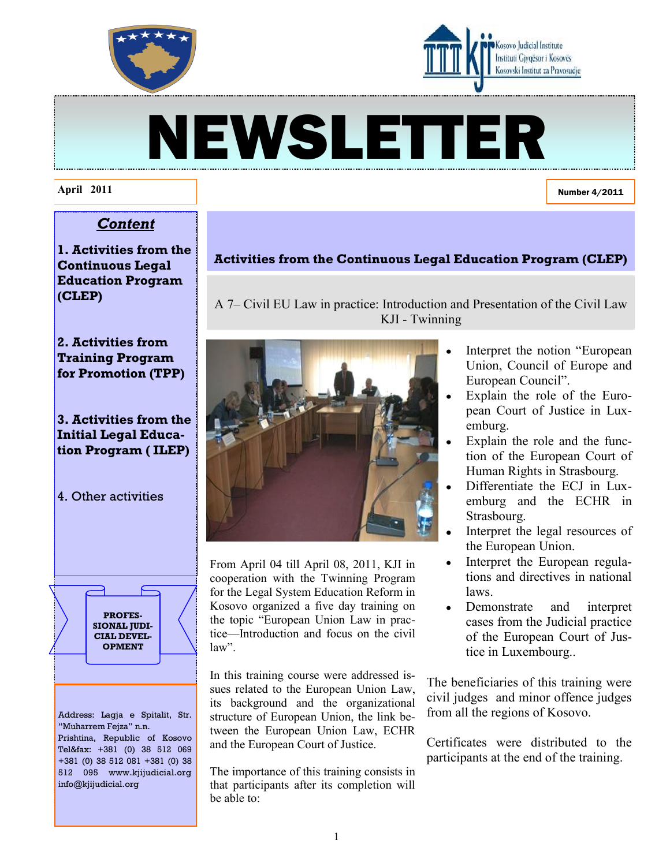



# NEWSLETTER

A 7– Civil EU Law in practice: Introduction and Presentation of the Civil Law KJI - Twinning

**Activities from the Continuous Legal Education Program (CLEP)**

#### **April 2011**

Number 4/2011

# *Content*

**1. Activities from the Continuous Legal Education Program (CLEP)**

# **2. Activities from Training Program for Promotion (TPP)**

# **3. Activities from the Initial Legal Education Program ( ILEP)**

4. Other activities



Address: Lagja e Spitalit, Str. "Muharrem Fejza" n.n. Prishtina, Republic of Kosovo Tel&fax: +381 (0) 38 512 069 +381 (0) 38 512 081 +381 (0) 38 512 095 www.kjijudicial.org

info@kjijudicial.org



From April 04 till April 08, 2011, KJI in cooperation with the Twinning Program for the Legal System Education Reform in Kosovo organized a five day training on the topic "European Union Law in practice—Introduction and focus on the civil law"

In this training course were addressed issues related to the European Union Law, its background and the organizational structure of European Union, the link between the European Union Law, ECHR and the European Court of Justice.

The importance of this training consists in that participants after its completion will be able to:

- Interpret the notion "European" Union, Council of Europe and European Council".
	- Explain the role of the European Court of Justice in Luxemburg.
	- Explain the role and the function of the European Court of Human Rights in Strasbourg.
- Differentiate the ECJ in Luxemburg and the ECHR in Strasbourg.
- Interpret the legal resources of the European Union.
- Interpret the European regula- $\bullet$ tions and directives in national laws.
- Demonstrate and interpret cases from the Judicial practice of the European Court of Justice in Luxembourg..

The beneficiaries of this training were civil judges and minor offence judges from all the regions of Kosovo.

Certificates were distributed to the participants at the end of the training.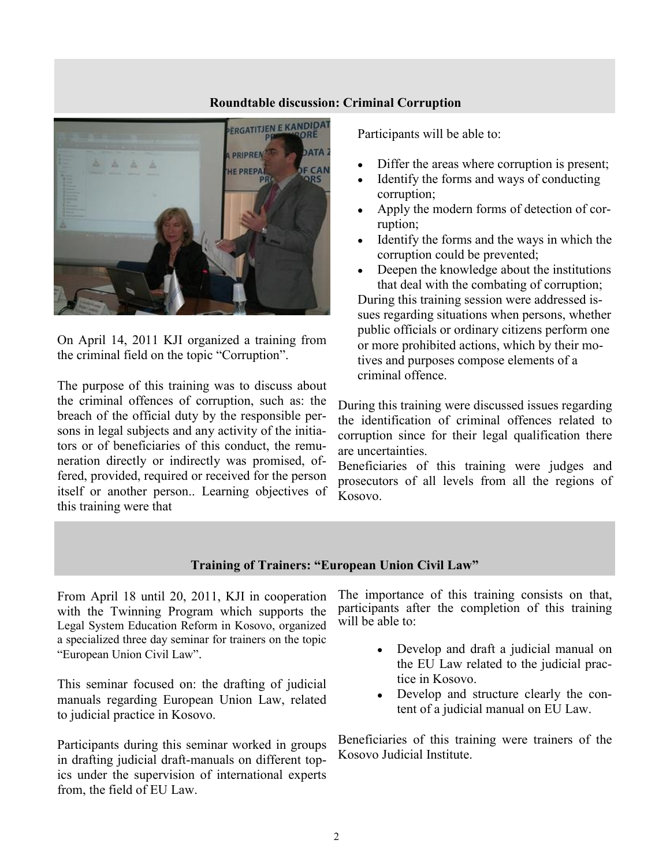#### **Roundtable discussion: Criminal Corruption**



On April 14, 2011 KJI organized a training from the criminal field on the topic "Corruption".

The purpose of this training was to discuss about the criminal offences of corruption, such as: the breach of the official duty by the responsible persons in legal subjects and any activity of the initiators or of beneficiaries of this conduct, the remuneration directly or indirectly was promised, offered, provided, required or received for the person itself or another person.. Learning objectives of this training were that

Participants will be able to:

- Differ the areas where corruption is present;
- Identify the forms and ways of conducting corruption;
- Apply the modern forms of detection of corruption;
- Identify the forms and the ways in which the corruption could be prevented;
- $\bullet$ Deepen the knowledge about the institutions that deal with the combating of corruption;

During this training session were addressed issues regarding situations when persons, whether public officials or ordinary citizens perform one or more prohibited actions, which by their motives and purposes compose elements of a criminal offence.

During this training were discussed issues regarding the identification of criminal offences related to corruption since for their legal qualification there are uncertainties.

Beneficiaries of this training were judges and prosecutors of all levels from all the regions of Kosovo.

## **Training of Trainers: "European Union Civil Law"**

From April 18 until 20, 2011, KJI in cooperation with the Twinning Program which supports the Legal System Education Reform in Kosovo, organized a specialized three day seminar for trainers on the topic "European Union Civil Law".

This seminar focused on: the drafting of judicial manuals regarding European Union Law, related to judicial practice in Kosovo.

Participants during this seminar worked in groups in drafting judicial draft-manuals on different topics under the supervision of international experts from, the field of EU Law.

The importance of this training consists on that, participants after the completion of this training will be able to:

- Develop and draft a judicial manual on the EU Law related to the judicial practice in Kosovo.
- Develop and structure clearly the content of a judicial manual on EU Law.

Beneficiaries of this training were trainers of the Kosovo Judicial Institute.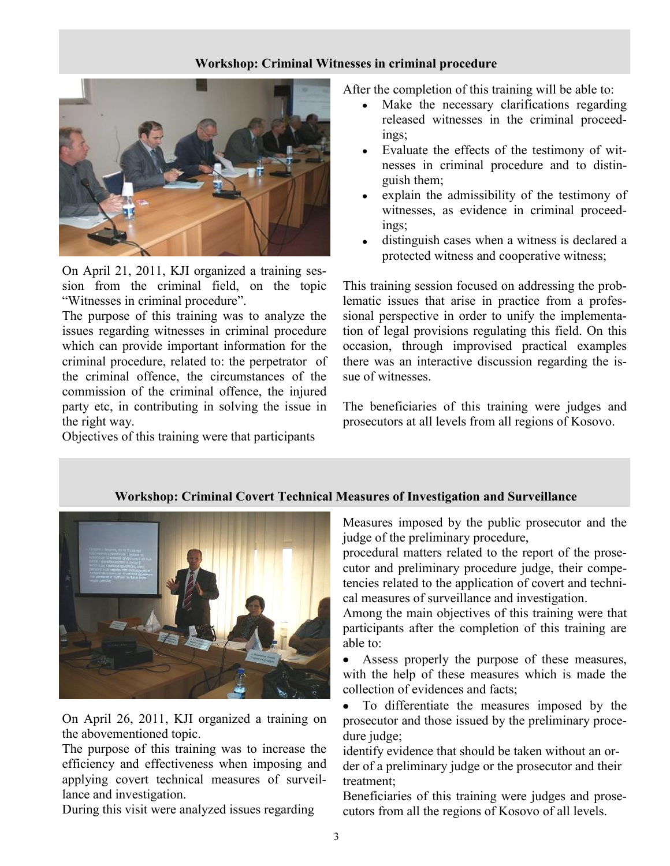## **Workshop: Criminal Witnesses in criminal procedure**



On April 21, 2011, KJI organized a training session from the criminal field, on the topic "Witnesses in criminal procedure".

The purpose of this training was to analyze the issues regarding witnesses in criminal procedure which can provide important information for the criminal procedure, related to: the perpetrator of the criminal offence, the circumstances of the commission of the criminal offence, the injured party etc, in contributing in solving the issue in the right way.

Objectives of this training were that participants

After the completion of this training will be able to:

- Make the necessary clarifications regarding released witnesses in the criminal proceedings;
- Evaluate the effects of the testimony of witnesses in criminal procedure and to distinguish them;
- explain the admissibility of the testimony of witnesses, as evidence in criminal proceedings;
- distinguish cases when a witness is declared a protected witness and cooperative witness;

This training session focused on addressing the problematic issues that arise in practice from a professional perspective in order to unify the implementation of legal provisions regulating this field. On this occasion, through improvised practical examples there was an interactive discussion regarding the issue of witnesses.

The beneficiaries of this training were judges and prosecutors at all levels from all regions of Kosovo.



On April 26, 2011, KJI organized a training on the abovementioned topic.

The purpose of this training was to increase the efficiency and effectiveness when imposing and applying covert technical measures of surveillance and investigation.

During this visit were analyzed issues regarding

Measures imposed by the public prosecutor and the judge of the preliminary procedure,

procedural matters related to the report of the prosecutor and preliminary procedure judge, their competencies related to the application of covert and technical measures of surveillance and investigation.

Among the main objectives of this training were that participants after the completion of this training are able to:

Assess properly the purpose of these measures,  $\bullet$ with the help of these measures which is made the collection of evidences and facts;

To differentiate the measures imposed by the prosecutor and those issued by the preliminary procedure judge;

identify evidence that should be taken without an order of a preliminary judge or the prosecutor and their treatment;

Beneficiaries of this training were judges and prosecutors from all the regions of Kosovo of all levels.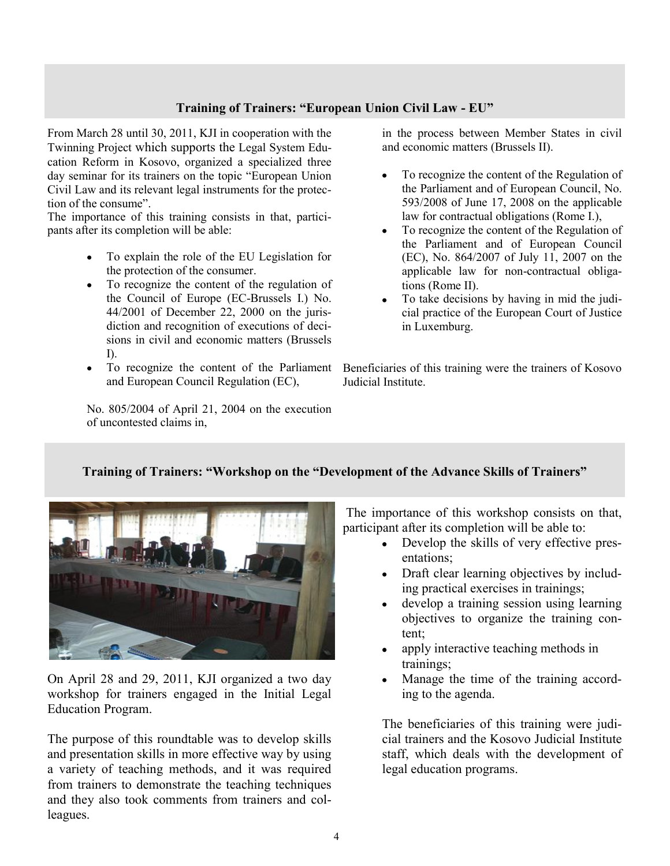## **Training of Trainers: "European Union Civil Law - EU"**

From March 28 until 30, 2011, KJI in cooperation with the Twinning Project which supports the Legal System Education Reform in Kosovo, organized a specialized three day seminar for its trainers on the topic "European Union" Civil Law and its relevant legal instruments for the protection of the consume".

The importance of this training consists in that, participants after its completion will be able:

- $\bullet$ To explain the role of the EU Legislation for the protection of the consumer.
- To recognize the content of the regulation of  $\bullet$ the Council of Europe (EC-Brussels I.) No. 44/2001 of December 22, 2000 on the jurisdiction and recognition of executions of decisions in civil and economic matters (Brussels I).
- To recognize the content of the Parliament  $\bullet$ and European Council Regulation (EC),

No. 805/2004 of April 21, 2004 on the execution of uncontested claims in,

in the process between Member States in civil and economic matters (Brussels II).

- To recognize the content of the Regulation of  $\bullet$ the Parliament and of European Council, No. 593/2008 of June 17, 2008 on the applicable law for contractual obligations (Rome I.),
- To recognize the content of the Regulation of the Parliament and of European Council (EC), No. 864/2007 of July 11, 2007 on the applicable law for non-contractual obligations (Rome II).
- To take decisions by having in mid the judicial practice of the European Court of Justice in Luxemburg.

Beneficiaries of this training were the trainers of Kosovo Judicial Institute.

# **Training of Trainers: "Workshop on the "Development of the Advance Skills of Trainers"**



On April 28 and 29, 2011, KJI organized a two day workshop for trainers engaged in the Initial Legal Education Program.

The purpose of this roundtable was to develop skills and presentation skills in more effective way by using a variety of teaching methods, and it was required from trainers to demonstrate the teaching techniques and they also took comments from trainers and colleagues.

The importance of this workshop consists on that, participant after its completion will be able to:

- Develop the skills of very effective presentations;
- Draft clear learning objectives by including practical exercises in trainings;
- develop a training session using learning objectives to organize the training content;
- apply interactive teaching methods in trainings;
- Manage the time of the training according to the agenda.

The beneficiaries of this training were judicial trainers and the Kosovo Judicial Institute staff, which deals with the development of legal education programs.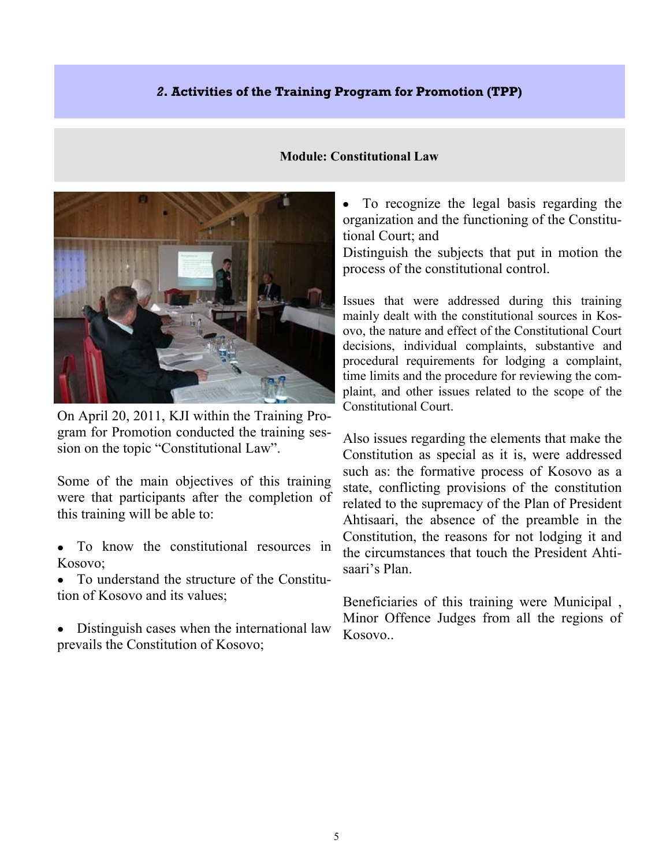# *2***. Activities of the Training Program for Promotion (TPP)**

## **Module: Constitutional Law**



On April 20, 2011, KJI within the Training Program for Promotion conducted the training session on the topic "Constitutional Law".

Some of the main objectives of this training were that participants after the completion of this training will be able to:

- To know the constitutional resources in Kosovo;
- To understand the structure of the Constitution of Kosovo and its values;
- Distinguish cases when the international law prevails the Constitution of Kosovo;

 $\bullet$ To recognize the legal basis regarding the organization and the functioning of the Constitutional Court; and

Distinguish the subjects that put in motion the process of the constitutional control.

Issues that were addressed during this training mainly dealt with the constitutional sources in Kosovo, the nature and effect of the Constitutional Court decisions, individual complaints, substantive and procedural requirements for lodging a complaint, time limits and the procedure for reviewing the complaint, and other issues related to the scope of the Constitutional Court.

Also issues regarding the elements that make the Constitution as special as it is, were addressed such as: the formative process of Kosovo as a state, conflicting provisions of the constitution related to the supremacy of the Plan of President Ahtisaari, the absence of the preamble in the Constitution, the reasons for not lodging it and the circumstances that touch the President Ahtisaari's Plan.

Beneficiaries of this training were Municipal , Minor Offence Judges from all the regions of Kosovo..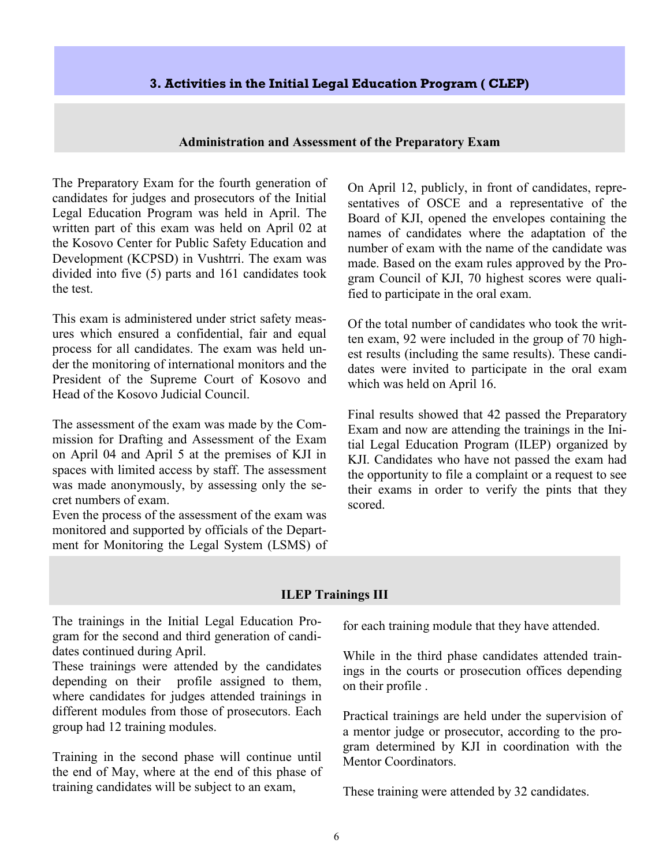## **3. Activities in the Initial Legal Education Program ( CLEP)**

#### **Administration and Assessment of the Preparatory Exam**

The Preparatory Exam for the fourth generation of candidates for judges and prosecutors of the Initial Legal Education Program was held in April. The written part of this exam was held on April 02 at the Kosovo Center for Public Safety Education and Development (KCPSD) in Vushtrri. The exam was divided into five (5) parts and 161 candidates took the test.

This exam is administered under strict safety measures which ensured a confidential, fair and equal process for all candidates. The exam was held under the monitoring of international monitors and the President of the Supreme Court of Kosovo and Head of the Kosovo Judicial Council.

The assessment of the exam was made by the Commission for Drafting and Assessment of the Exam on April 04 and April 5 at the premises of KJI in spaces with limited access by staff. The assessment was made anonymously, by assessing only the secret numbers of exam.

Even the process of the assessment of the exam was monitored and supported by officials of the Department for Monitoring the Legal System (LSMS) of On April 12, publicly, in front of candidates, representatives of OSCE and a representative of the Board of KJI, opened the envelopes containing the names of candidates where the adaptation of the number of exam with the name of the candidate was made. Based on the exam rules approved by the Program Council of KJI, 70 highest scores were qualified to participate in the oral exam.

Of the total number of candidates who took the written exam, 92 were included in the group of 70 highest results (including the same results). These candidates were invited to participate in the oral exam which was held on April 16.

Final results showed that 42 passed the Preparatory Exam and now are attending the trainings in the Initial Legal Education Program (ILEP) organized by KJI. Candidates who have not passed the exam had the opportunity to file a complaint or a request to see their exams in order to verify the pints that they scored.

#### **ILEP Trainings III**

The trainings in the Initial Legal Education Program for the second and third generation of candidates continued during April.

These trainings were attended by the candidates depending on their profile assigned to them, where candidates for judges attended trainings in different modules from those of prosecutors. Each group had 12 training modules.

Training in the second phase will continue until the end of May, where at the end of this phase of training candidates will be subject to an exam,

for each training module that they have attended.

While in the third phase candidates attended trainings in the courts or prosecution offices depending on their profile .

Practical trainings are held under the supervision of a mentor judge or prosecutor, according to the program determined by KJI in coordination with the Mentor Coordinators.

These training were attended by 32 candidates.